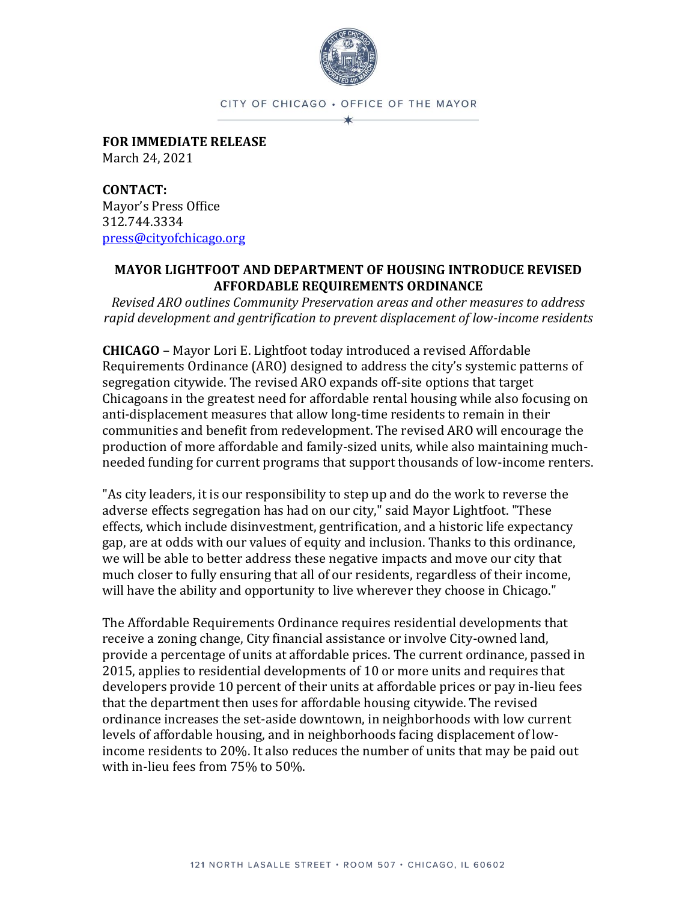

CITY OF CHICAGO . OFFICE OF THE MAYOR

**FOR IMMEDIATE RELEASE** March 24, 2021

**CONTACT:**  Mayor's Press Office 312.744.3334 [press@cityofchicago.org](mailto:press@cityofchicago.org)

## **MAYOR LIGHTFOOT AND DEPARTMENT OF HOUSING INTRODUCE REVISED AFFORDABLE REQUIREMENTS ORDINANCE**

*Revised ARO outlines Community Preservation areas and other measures to address rapid development and gentrification to prevent displacement of low-income residents*

**CHICAGO** – Mayor Lori E. Lightfoot today introduced a revised Affordable Requirements Ordinance (ARO) designed to address the city's systemic patterns of segregation citywide. The revised ARO expands off-site options that target Chicagoans in the greatest need for affordable rental housing while also focusing on anti-displacement measures that allow long-time residents to remain in their communities and benefit from redevelopment. The revised ARO will encourage the production of more affordable and family-sized units, while also maintaining muchneeded funding for current programs that support thousands of low-income renters.

"As city leaders, it is our responsibility to step up and do the work to reverse the adverse effects segregation has had on our city," said Mayor Lightfoot. "These effects, which include disinvestment, gentrification, and a historic life expectancy gap, are at odds with our values of equity and inclusion. Thanks to this ordinance, we will be able to better address these negative impacts and move our city that much closer to fully ensuring that all of our residents, regardless of their income, will have the ability and opportunity to live wherever they choose in Chicago."

The Affordable Requirements Ordinance requires residential developments that receive a zoning change, City financial assistance or involve City-owned land, provide a percentage of units at affordable prices. The current ordinance, passed in 2015, applies to residential developments of 10 or more units and requires that developers provide 10 percent of their units at affordable prices or pay in-lieu fees that the department then uses for affordable housing citywide. The revised ordinance increases the set-aside downtown, in neighborhoods with low current levels of affordable housing, and in neighborhoods facing displacement of lowincome residents to 20%. It also reduces the number of units that may be paid out with in-lieu fees from 75% to 50%.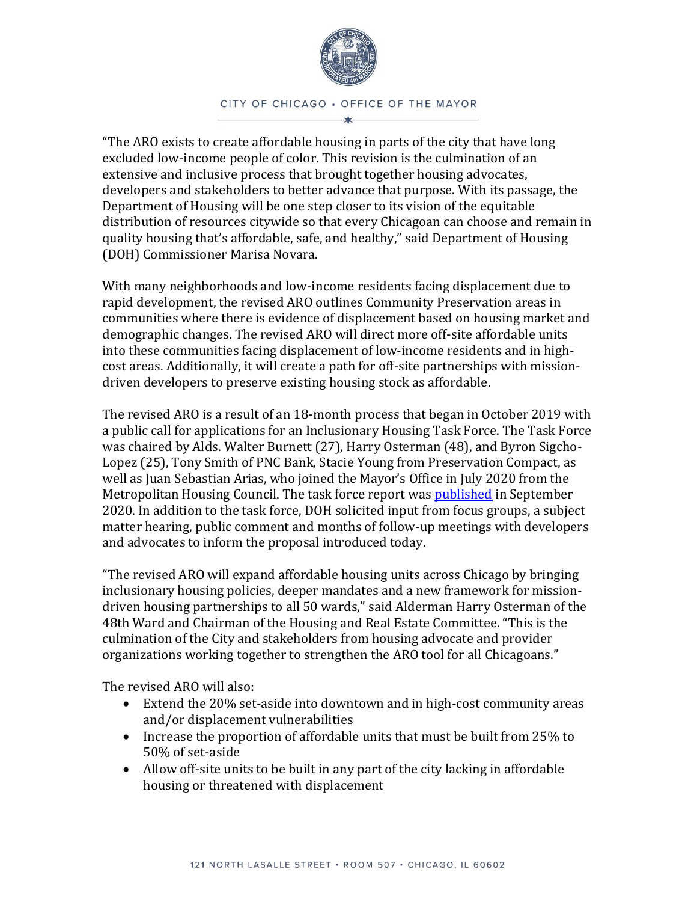

CITY OF CHICAGO . OFFICE OF THE MAYOR

"The ARO exists to create affordable housing in parts of the city that have long excluded low-income people of color. This revision is the culmination of an extensive and inclusive process that brought together housing advocates, developers and stakeholders to better advance that purpose. With its passage, the Department of Housing will be one step closer to its vision of the equitable distribution of resources citywide so that every Chicagoan can choose and remain in quality housing that's affordable, safe, and healthy," said Department of Housing (DOH) Commissioner Marisa Novara.

With many neighborhoods and low-income residents facing displacement due to rapid development, the revised ARO outlines Community Preservation areas in communities where there is evidence of displacement based on housing market and demographic changes. The revised ARO will direct more off-site affordable units into these communities facing displacement of low-income residents and in highcost areas. Additionally, it will create a path for off-site partnerships with missiondriven developers to preserve existing housing stock as affordable.

The revised ARO is a result of an 18-month process that began in October 2019 with a public call for applications for an Inclusionary Housing Task Force. The Task Force was chaired by Alds. Walter Burnett (27), Harry Osterman (48), and Byron Sigcho-Lopez (25), Tony Smith of PNC Bank, Stacie Young from Preservation Compact, as well as Juan Sebastian Arias, who joined the Mayor's Office in July 2020 from the Metropolitan Housing Council. The task force report was [published](https://www.chicago.gov/city/en/depts/doh/provdrs/housing_resources/news/2020/september/department-of-housing-publishes-inclusionary-housing-task-force-.html) in September 2020. In addition to the task force, DOH solicited input from focus groups, a subject matter hearing, public comment and months of follow-up meetings with developers and advocates to inform the proposal introduced today.

"The revised ARO will expand affordable housing units across Chicago by bringing inclusionary housing policies, deeper mandates and a new framework for missiondriven housing partnerships to all 50 wards," said Alderman Harry Osterman of the 48th Ward and Chairman of the Housing and Real Estate Committee. "This is the culmination of the City and stakeholders from housing advocate and provider organizations working together to strengthen the ARO tool for all Chicagoans."

The revised ARO will also:

- Extend the 20% set-aside into downtown and in high-cost community areas and/or displacement vulnerabilities
- Increase the proportion of affordable units that must be built from 25% to 50% of set-aside
- Allow off-site units to be built in any part of the city lacking in affordable housing or threatened with displacement